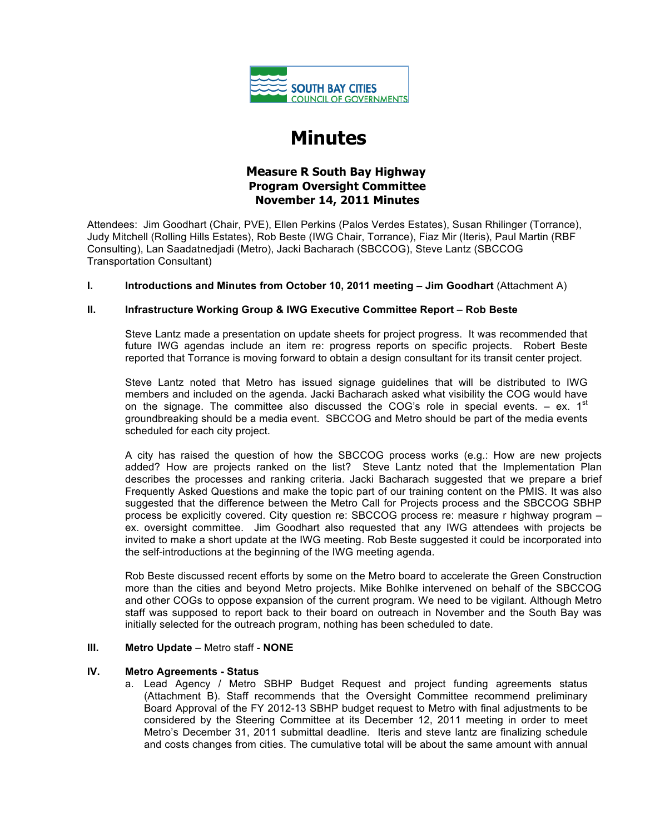

# **Minutes**

## **Measure R South Bay Highway Program Oversight Committee November 14, 2011 Minutes**

Attendees: Jim Goodhart (Chair, PVE), Ellen Perkins (Palos Verdes Estates), Susan Rhilinger (Torrance), Judy Mitchell (Rolling Hills Estates), Rob Beste (IWG Chair, Torrance), Fiaz Mir (Iteris), Paul Martin (RBF Consulting), Lan Saadatnedjadi (Metro), Jacki Bacharach (SBCCOG), Steve Lantz (SBCCOG Transportation Consultant)

### **I. Introductions and Minutes from October 10, 2011 meeting – Jim Goodhart** (Attachment A)

### **II. Infrastructure Working Group & IWG Executive Committee Report** – **Rob Beste**

Steve Lantz made a presentation on update sheets for project progress. It was recommended that future IWG agendas include an item re: progress reports on specific projects. Robert Beste reported that Torrance is moving forward to obtain a design consultant for its transit center project.

Steve Lantz noted that Metro has issued signage guidelines that will be distributed to IWG members and included on the agenda. Jacki Bacharach asked what visibility the COG would have on the signage. The committee also discussed the COG's role in special events.  $-$  ex. 1<sup>st</sup> groundbreaking should be a media event. SBCCOG and Metro should be part of the media events scheduled for each city project.

A city has raised the question of how the SBCCOG process works (e.g.: How are new projects added? How are projects ranked on the list? Steve Lantz noted that the Implementation Plan describes the processes and ranking criteria. Jacki Bacharach suggested that we prepare a brief Frequently Asked Questions and make the topic part of our training content on the PMIS. It was also suggested that the difference between the Metro Call for Projects process and the SBCCOG SBHP process be explicitly covered. City question re: SBCCOG process re: measure r highway program – ex. oversight committee. Jim Goodhart also requested that any IWG attendees with projects be invited to make a short update at the IWG meeting. Rob Beste suggested it could be incorporated into the self-introductions at the beginning of the IWG meeting agenda.

Rob Beste discussed recent efforts by some on the Metro board to accelerate the Green Construction more than the cities and beyond Metro projects. Mike Bohlke intervened on behalf of the SBCCOG and other COGs to oppose expansion of the current program. We need to be vigilant. Although Metro staff was supposed to report back to their board on outreach in November and the South Bay was initially selected for the outreach program, nothing has been scheduled to date.

#### **III. Metro Update** – Metro staff - **NONE**

### **IV. Metro Agreements - Status**

a. Lead Agency / Metro SBHP Budget Request and project funding agreements status (Attachment B). Staff recommends that the Oversight Committee recommend preliminary Board Approval of the FY 2012-13 SBHP budget request to Metro with final adjustments to be considered by the Steering Committee at its December 12, 2011 meeting in order to meet Metro's December 31, 2011 submittal deadline. Iteris and steve lantz are finalizing schedule and costs changes from cities. The cumulative total will be about the same amount with annual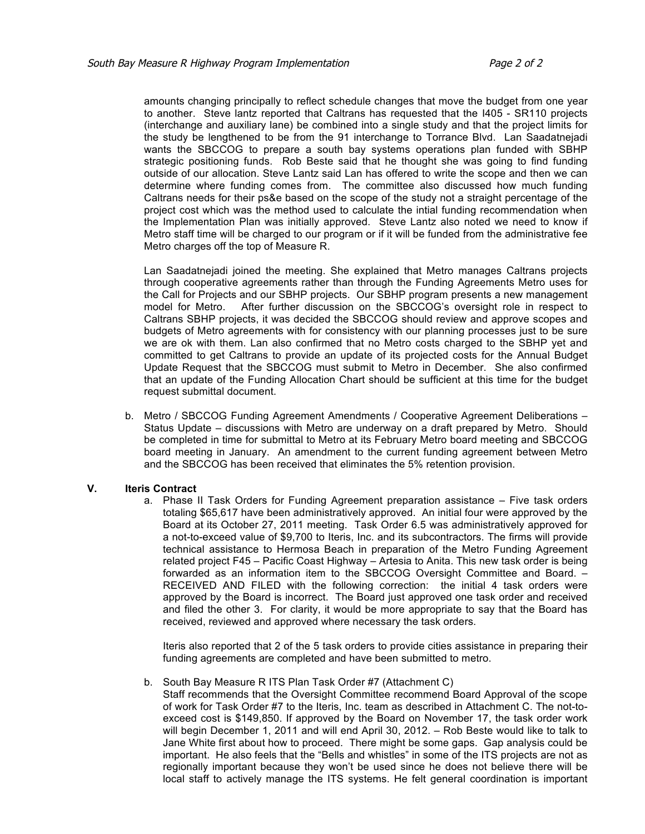amounts changing principally to reflect schedule changes that move the budget from one year to another. Steve lantz reported that Caltrans has requested that the I405 - SR110 projects (interchange and auxiliary lane) be combined into a single study and that the project limits for the study be lengthened to be from the 91 interchange to Torrance Blvd. Lan Saadatnejadi wants the SBCCOG to prepare a south bay systems operations plan funded with SBHP strategic positioning funds. Rob Beste said that he thought she was going to find funding outside of our allocation. Steve Lantz said Lan has offered to write the scope and then we can determine where funding comes from. The committee also discussed how much funding Caltrans needs for their ps&e based on the scope of the study not a straight percentage of the project cost which was the method used to calculate the intial funding recommendation when the Implementation Plan was initially approved. Steve Lantz also noted we need to know if Metro staff time will be charged to our program or if it will be funded from the administrative fee Metro charges off the top of Measure R.

Lan Saadatnejadi joined the meeting. She explained that Metro manages Caltrans projects through cooperative agreements rather than through the Funding Agreements Metro uses for the Call for Projects and our SBHP projects. Our SBHP program presents a new management model for Metro. After further discussion on the SBCCOG's oversight role in respect to Caltrans SBHP projects, it was decided the SBCCOG should review and approve scopes and budgets of Metro agreements with for consistency with our planning processes just to be sure we are ok with them. Lan also confirmed that no Metro costs charged to the SBHP yet and committed to get Caltrans to provide an update of its projected costs for the Annual Budget Update Request that the SBCCOG must submit to Metro in December. She also confirmed that an update of the Funding Allocation Chart should be sufficient at this time for the budget request submittal document.

b. Metro / SBCCOG Funding Agreement Amendments / Cooperative Agreement Deliberations – Status Update – discussions with Metro are underway on a draft prepared by Metro. Should be completed in time for submittal to Metro at its February Metro board meeting and SBCCOG board meeting in January. An amendment to the current funding agreement between Metro and the SBCCOG has been received that eliminates the 5% retention provision.

#### **V. Iteris Contract**

a. Phase II Task Orders for Funding Agreement preparation assistance – Five task orders totaling \$65,617 have been administratively approved. An initial four were approved by the Board at its October 27, 2011 meeting. Task Order 6.5 was administratively approved for a not-to-exceed value of \$9,700 to Iteris, Inc. and its subcontractors. The firms will provide technical assistance to Hermosa Beach in preparation of the Metro Funding Agreement related project F45 – Pacific Coast Highway – Artesia to Anita. This new task order is being forwarded as an information item to the SBCCOG Oversight Committee and Board. – RECEIVED AND FILED with the following correction: the initial 4 task orders were approved by the Board is incorrect. The Board just approved one task order and received and filed the other 3. For clarity, it would be more appropriate to say that the Board has received, reviewed and approved where necessary the task orders.

Iteris also reported that 2 of the 5 task orders to provide cities assistance in preparing their funding agreements are completed and have been submitted to metro.

#### b. South Bay Measure R ITS Plan Task Order #7 (Attachment C)

Staff recommends that the Oversight Committee recommend Board Approval of the scope of work for Task Order #7 to the Iteris, Inc. team as described in Attachment C. The not-toexceed cost is \$149,850. If approved by the Board on November 17, the task order work will begin December 1, 2011 and will end April 30, 2012. – Rob Beste would like to talk to Jane White first about how to proceed. There might be some gaps. Gap analysis could be important. He also feels that the "Bells and whistles" in some of the ITS projects are not as regionally important because they won't be used since he does not believe there will be local staff to actively manage the ITS systems. He felt general coordination is important